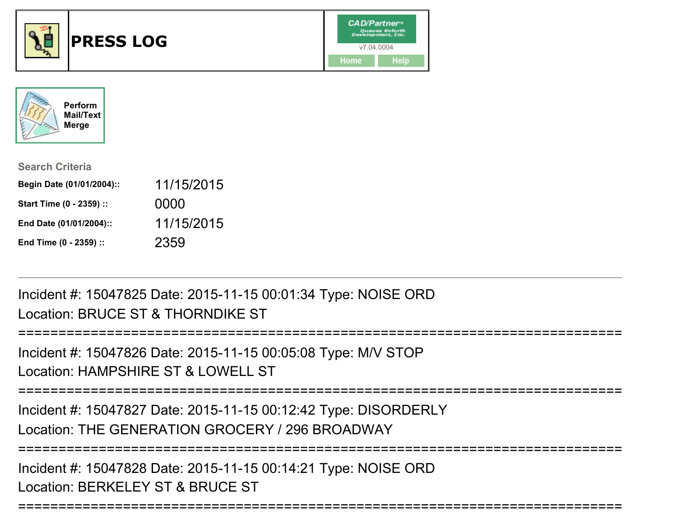



| <b>Search Criteria</b>    |            |
|---------------------------|------------|
| Begin Date (01/01/2004):: | 11/15/2015 |
| Start Time (0 - 2359) ::  | 0000       |
| End Date (01/01/2004)::   | 11/15/2015 |
| End Time (0 - 2359) ::    | 2359       |

Incident #: 15047825 Date: 2015-11-15 00:01:34 Type: NOISE ORDLocation: BRUCE ST & THORNDIKE ST

```
Incident #: 15047826 Date: 2015-11-15 00:05:08 Type: M/V STOP
```

```
Location: HAMPSHIRF ST & LOWELL ST
```
===========================================================================

===========================================================================

Incident #: 15047827 Date: 2015-11-15 00:12:42 Type: DISORDERLYLocation: THE GENERATION GROCERY / 296 BROADWAY

===========================================================================

===========================================================================

Incident #: 15047828 Date: 2015-11-15 00:14:21 Type: NOISE ORDLocation: BERKELEY ST & BRUCE ST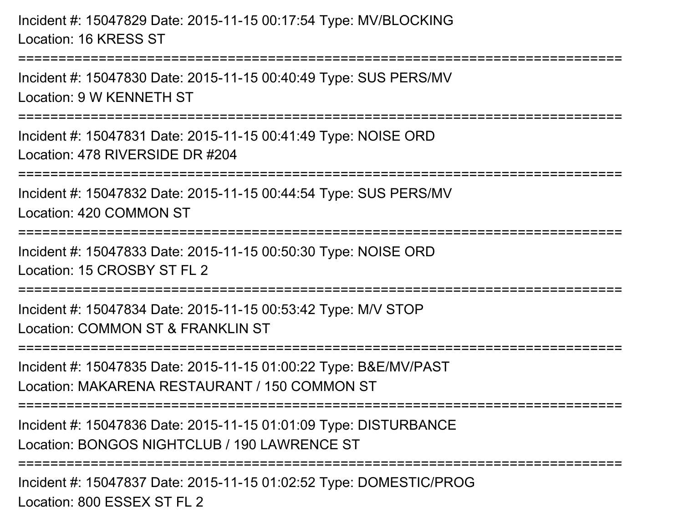Incident #: 15047829 Date: 2015-11-15 00:17:54 Type: MV/BLOCKINGLocation: 16 KRESS ST

Incident #: 15047830 Date: 2015-11-15 00:40:49 Type: SUS PERS/MVLocation: 9 W KENNETH ST

===========================================================================

===========================================================================

Incident #: 15047831 Date: 2015-11-15 00:41:49 Type: NOISE ORDLocation: 478 RIVERSIDE DR #204

===========================================================================

Incident #: 15047832 Date: 2015-11-15 00:44:54 Type: SUS PERS/MV

Location: 420 COMMON ST

===========================================================================

Incident #: 15047833 Date: 2015-11-15 00:50:30 Type: NOISE ORDLocation: 15 CROSBY ST FL 2

===========================================================================

Incident #: 15047834 Date: 2015-11-15 00:53:42 Type: M/V STOPLocation: COMMON ST & FRANKLIN ST

===========================================================================

Incident #: 15047835 Date: 2015-11-15 01:00:22 Type: B&E/MV/PASTLocation: MAKARENA RESTAURANT / 150 COMMON ST

===========================================================================

Incident #: 15047836 Date: 2015-11-15 01:01:09 Type: DISTURBANCELocation: BONGOS NIGHTCLUB / 190 LAWRENCE ST

===========================================================================

Incident #: 15047837 Date: 2015-11-15 01:02:52 Type: DOMESTIC/PROGLocation: 800 ESSEX ST FL 2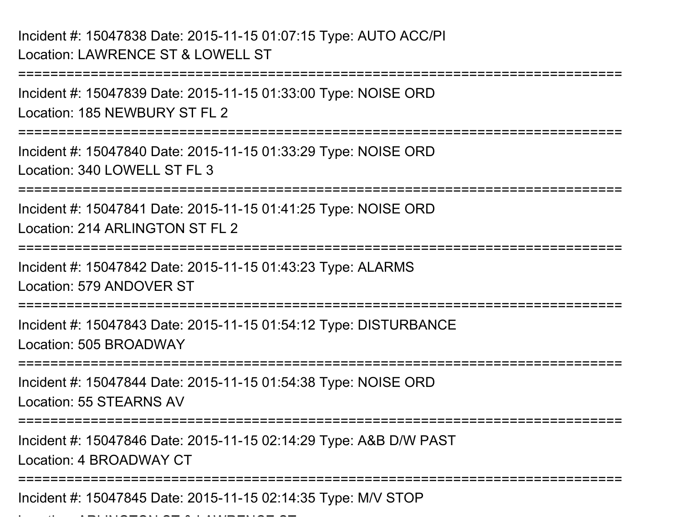Incident #: 15047838 Date: 2015-11-15 01:07:15 Type: AUTO ACC/PILocation: LAWRENCE ST & LOWELL ST

===========================================================================Incident #: 15047839 Date: 2015-11-15 01:33:00 Type: NOISE ORDLocation: 185 NEWBURY ST FL 2===========================================================================Incident #: 15047840 Date: 2015-11-15 01:33:29 Type: NOISE ORDLocation: 340 LOWELL ST FL 3 ===========================================================================Incident #: 15047841 Date: 2015-11-15 01:41:25 Type: NOISE ORDLocation: 214 ARLINGTON ST FL 2 ===========================================================================Incident #: 15047842 Date: 2015-11-15 01:43:23 Type: ALARMSLocation: 579 ANDOVER ST===========================================================================Incident #: 15047843 Date: 2015-11-15 01:54:12 Type: DISTURBANCELocation: 505 BROADWAY===========================================================================Incident #: 15047844 Date: 2015-11-15 01:54:38 Type: NOISE ORDLocation: 55 STEARNS AV===========================================================================Incident #: 15047846 Date: 2015-11-15 02:14:29 Type: A&B D/W PASTLocation: 4 BROADWAY CT===========================================================================Incident #: 15047845 Date: 2015-11-15 02:14:35 Type: M/V STOPLocation: ARLINGTON: ARLINGTON ST & LAWRENCE ST & LAWRENCE ST & LAWRENCE ST & LAWRENCE ST & LAWRENCE ST & LAWR<br>.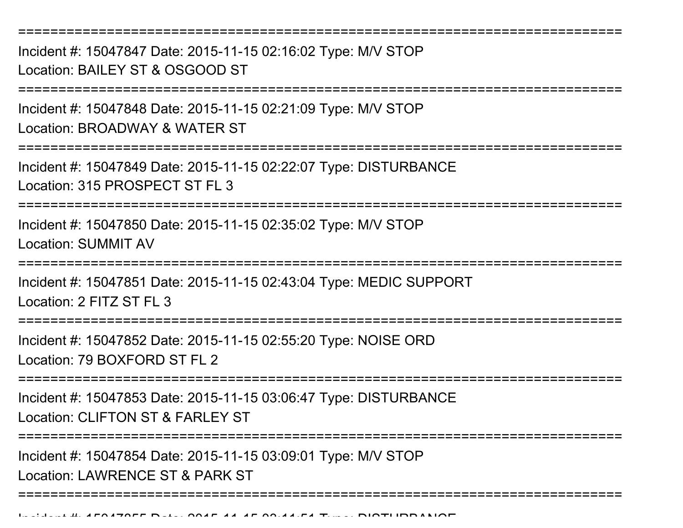===========================================================================Incident #: 15047847 Date: 2015-11-15 02:16:02 Type: M/V STOPLocation: BAILEY ST & OSGOOD ST===========================================================================Incident #: 15047848 Date: 2015-11-15 02:21:09 Type: M/V STOPLocation: BROADWAY & WATER ST===========================================================================Incident #: 15047849 Date: 2015-11-15 02:22:07 Type: DISTURBANCELocation: 315 PROSPECT ST FL 3 ===========================================================================Incident #: 15047850 Date: 2015-11-15 02:35:02 Type: M/V STOPLocation: SUMMIT AV===========================================================================Incident #: 15047851 Date: 2015-11-15 02:43:04 Type: MEDIC SUPPORTLocation: 2 FITZ ST FL 3===========================================================================Incident #: 15047852 Date: 2015-11-15 02:55:20 Type: NOISE ORDLocation: 79 BOXFORD ST FL 2===========================================================================Incident #: 15047853 Date: 2015-11-15 03:06:47 Type: DISTURBANCELocation: CLIFTON ST & FARLEY ST===========================================================================Incident #: 15047854 Date: 2015-11-15 03:09:01 Type: M/V STOPLocation: LAWRENCE ST & PARK ST===========================================================================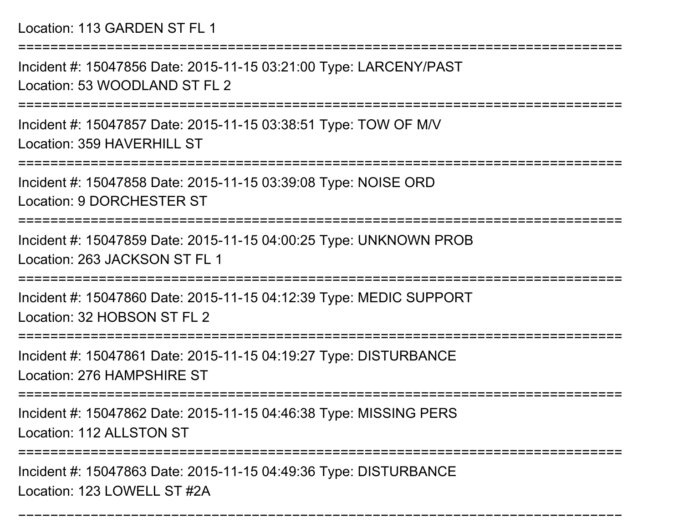Location: 113 GARDEN ST FL 1

===========================================================================

Incident #: 15047856 Date: 2015-11-15 03:21:00 Type: LARCENY/PASTLocation: 53 WOODLAND ST FL 2

===========================================================================

Incident #: 15047857 Date: 2015-11-15 03:38:51 Type: TOW OF M/VLocation: 359 HAVERHILL ST

===========================================================================

Incident #: 15047858 Date: 2015-11-15 03:39:08 Type: NOISE ORDLocation: 9 DORCHESTER ST

===========================================================================

Incident #: 15047859 Date: 2015-11-15 04:00:25 Type: UNKNOWN PROBLocation: 263 JACKSON ST FL 1

===========================================================================

Incident #: 15047860 Date: 2015-11-15 04:12:39 Type: MEDIC SUPPORTLocation: 32 HOBSON ST FL 2

======================

Incident #: 15047861 Date: 2015-11-15 04:19:27 Type: DISTURBANCELocation: 276 HAMPSHIRE ST

===========================================================================

Incident #: 15047862 Date: 2015-11-15 04:46:38 Type: MISSING PERS

Location: 112 ALLSTON ST

========================

===========================================================================

Incident #: 15047863 Date: 2015-11-15 04:49:36 Type: DISTURBANCELocation: 123 LOWELL ST #2A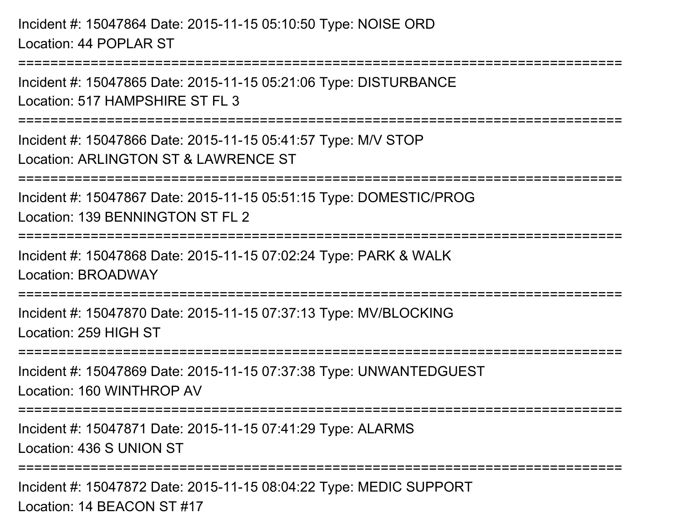```
Incident #: 15047864 Date: 2015-11-15 05:10:50 Type: NOISE ORDLocation: 44 POPLAR ST===============
Incident #: 15047865 Date: 2015-11-15 05:21:06 Type: DISTURBANCELocation: 517 HAMPSHIRF ST FL 3
===========================================================================Incident #: 15047866 Date: 2015-11-15 05:41:57 Type: M/V STOPLocation: ARLINGTON ST & LAWRENCE ST===========================================================================Incident #: 15047867 Date: 2015-11-15 05:51:15 Type: DOMESTIC/PROGLocation: 139 BENNINGTON ST FL 2===========================================================================Incident #: 15047868 Date: 2015-11-15 07:02:24 Type: PARK & WALKLocation: BROADWAY===========================================================================Incident #: 15047870 Date: 2015-11-15 07:37:13 Type: MV/BLOCKINGLocation: 259 HIGH ST===========================================================================Incident #: 15047869 Date: 2015-11-15 07:37:38 Type: UNWANTEDGUESTLocation: 160 WINTHROP AV===========================================================================Incident #: 15047871 Date: 2015-11-15 07:41:29 Type: ALARMSLocation: 436 S UNION ST===========================================================================Incident #: 15047872 Date: 2015-11-15 08:04:22 Type: MEDIC SUPPORTLocation: 14 BEACON ST #17
```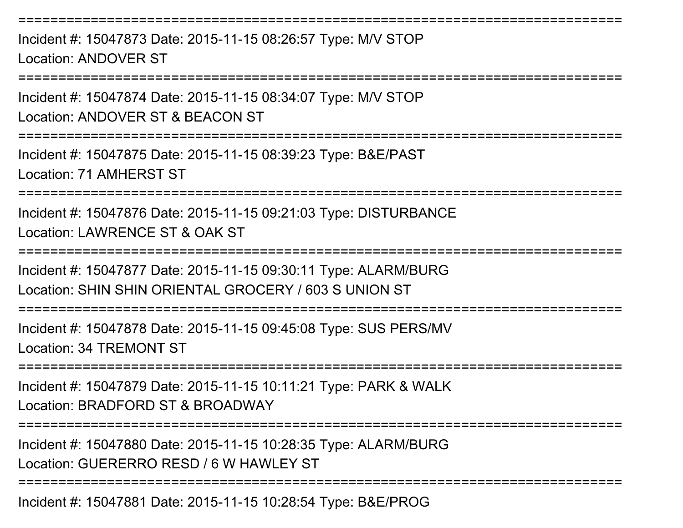Incident #: 15047873 Date: 2015-11-15 08:26:57 Type: M/V STOPLocation: ANDOVER ST

===========================================================================

===========================================================================

Incident #: 15047874 Date: 2015-11-15 08:34:07 Type: M/V STOPLocation: ANDOVER ST & BEACON ST

===========================================================================

Incident #: 15047875 Date: 2015-11-15 08:39:23 Type: B&E/PASTLocation: 71 AMHERST ST

===========================================================================

Incident #: 15047876 Date: 2015-11-15 09:21:03 Type: DISTURBANCELocation: LAWRENCE ST & OAK ST

===========================================================================

Incident #: 15047877 Date: 2015-11-15 09:30:11 Type: ALARM/BURGLocation: SHIN SHIN ORIENTAL GROCERY / 603 S UNION ST

===========================================================================

Incident #: 15047878 Date: 2015-11-15 09:45:08 Type: SUS PERS/MVLocation: 34 TREMONT ST

===========================================================================

Incident #: 15047879 Date: 2015-11-15 10:11:21 Type: PARK & WALKLocation: BRADFORD ST & BROADWAY

===========================================================================

Incident #: 15047880 Date: 2015-11-15 10:28:35 Type: ALARM/BURGLocation: GUERERRO RESD / 6 W HAWLEY ST

===========================================================================

Incident #: 15047881 Date: 2015-11-15 10:28:54 Type: B&E/PROG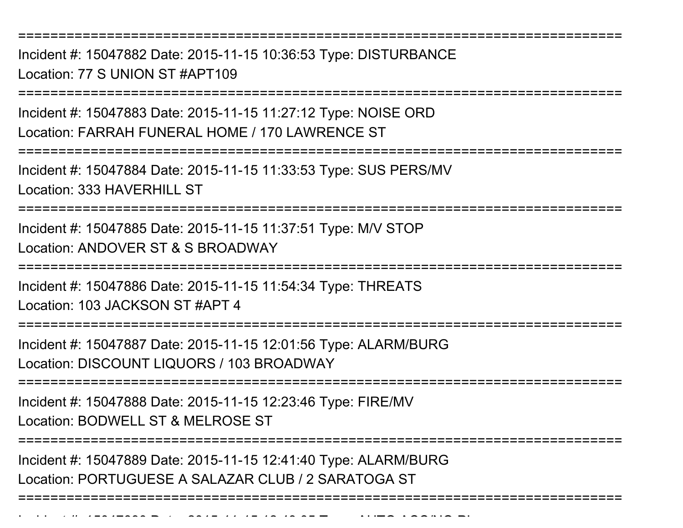===========================================================================

Incident #: 15047882 Date: 2015-11-15 10:36:53 Type: DISTURBANCELocation: 77 S UNION ST #APT109

===========================================================================

Incident #: 15047883 Date: 2015-11-15 11:27:12 Type: NOISE ORDLocation: FARRAH FUNERAL HOME / 170 LAWRENCE ST

===========================================================================

Incident #: 15047884 Date: 2015-11-15 11:33:53 Type: SUS PERS/MVLocation: 333 HAVERHILL ST

===========================================================================

Incident #: 15047885 Date: 2015-11-15 11:37:51 Type: M/V STOPLocation: ANDOVER ST & S BROADWAY

===========================================================================

Incident #: 15047886 Date: 2015-11-15 11:54:34 Type: THREATS

Location: 103 JACKSON ST #APT 4

===========================================================================

Incident #: 15047887 Date: 2015-11-15 12:01:56 Type: ALARM/BURGLocation: DISCOUNT LIQUORS / 103 BROADWAY

===========================================================================

Incident #: 15047888 Date: 2015-11-15 12:23:46 Type: FIRE/MV

Location: BODWELL ST & MELROSE ST

Incident #: 15047890 Date: 2015

===========================================================================

===========================================================================

- *11 1* - 12:43:05 Type: AUTO ACC/NO PI

Incident #: 15047889 Date: 2015-11-15 12:41:40 Type: ALARM/BURGLocation: PORTUGUESE A SALAZAR CLUB / 2 SARATOGA ST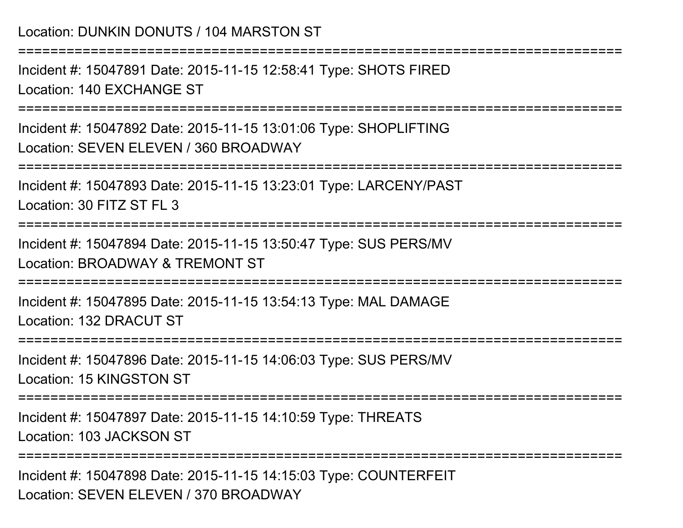## Location: DUNKIN DONUTS / 104 MARSTON ST

===========================================================================

Incident #: 15047891 Date: 2015-11-15 12:58:41 Type: SHOTS FIREDLocation: 140 EXCHANGE ST

===========================================================================

Incident #: 15047892 Date: 2015-11-15 13:01:06 Type: SHOPLIFTINGLocation: SEVEN ELEVEN / 360 BROADWAY

===========================================================================

Incident #: 15047893 Date: 2015-11-15 13:23:01 Type: LARCENY/PASTLocation: 30 FITZ ST FL 3

===========================================================================

Incident #: 15047894 Date: 2015-11-15 13:50:47 Type: SUS PERS/MVLocation: BROADWAY & TREMONT ST

===========================================================================

Incident #: 15047895 Date: 2015-11-15 13:54:13 Type: MAL DAMAGELocation: 132 DRACUT ST

===========================================================================

Incident #: 15047896 Date: 2015-11-15 14:06:03 Type: SUS PERS/MVLocation: 15 KINGSTON ST

===========================================================================

Incident #: 15047897 Date: 2015-11-15 14:10:59 Type: THREATSLocation: 103 JACKSON ST

===========================================================================

Incident #: 15047898 Date: 2015-11-15 14:15:03 Type: COUNTERFEITLocation: SEVEN ELEVEN / 370 BROADWAY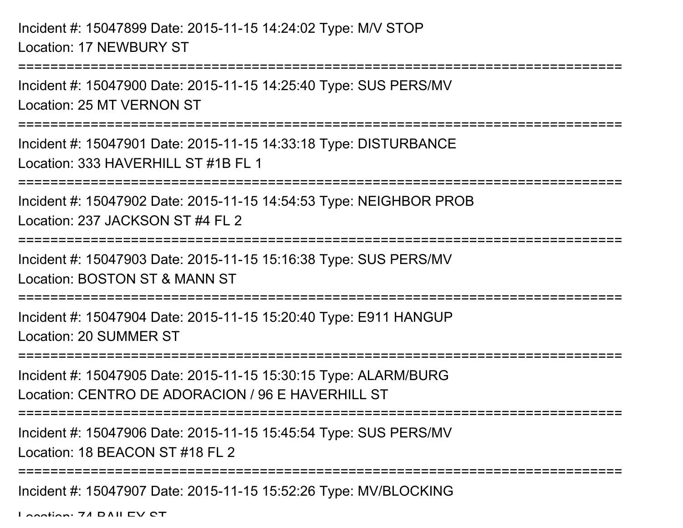===========================================================================Incident #: 15047900 Date: 2015-11-15 14:25:40 Type: SUS PERS/MVLocation: 25 MT VERNON ST===========================================================================Incident #: 15047901 Date: 2015-11-15 14:33:18 Type: DISTURBANCELocation: 333 HAVERHILL ST #1B FL 1===========================================================================Incident #: 15047902 Date: 2015-11-15 14:54:53 Type: NEIGHBOR PROBLocation: 237 JACKSON ST #4 FL 2===========================================================================Incident #: 15047903 Date: 2015-11-15 15:16:38 Type: SUS PERS/MVLocation: BOSTON ST & MANN ST===========================================================================Incident #: 15047904 Date: 2015-11-15 15:20:40 Type: E911 HANGUP

Location: 20 SUMMER ST

=======================

Incident #: 15047905 Date: 2015-11-15 15:30:15 Type: ALARM/BURGLocation: CENTRO DE ADORACION / 96 E HAVERHILL ST

===========================================================================

Incident #: 15047906 Date: 2015-11-15 15:45:54 Type: SUS PERS/MV

Location: 18 BEACON ST #18 FL 2

===========================================================================

Incident #: 15047907 Date: 2015-11-15 15:52:26 Type: MV/BLOCKING

Location: 74 DAILEV CT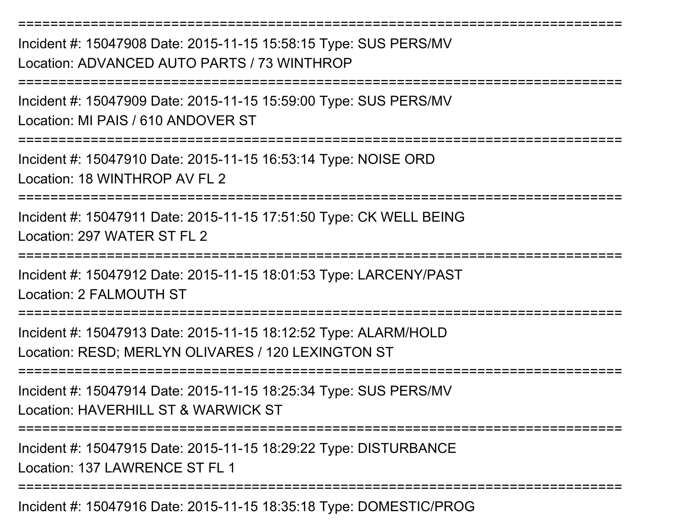Incident #: 15047908 Date: 2015-11-15 15:58:15 Type: SUS PERS/MVLocation: ADVANCED AUTO PARTS / 73 WINTHROP

Incident #: 15047909 Date: 2015-11-15 15:59:00 Type: SUS PERS/MVLocation: MI PAIS / 610 ANDOVER ST

===========================================================================

Incident #: 15047910 Date: 2015-11-15 16:53:14 Type: NOISE ORDLocation: 18 WINTHROP AV FL 2

===========================================================================

===========================================================================

===========================================================================

Incident #: 15047911 Date: 2015-11-15 17:51:50 Type: CK WELL BEINGLocation: 297 WATER ST FL 2

===========================================================================

Incident #: 15047912 Date: 2015-11-15 18:01:53 Type: LARCENY/PASTLocation: 2 FALMOUTH ST

=======================

Incident #: 15047913 Date: 2015-11-15 18:12:52 Type: ALARM/HOLDLocation: RESD; MERLYN OLIVARES / 120 LEXINGTON ST

===========================================================================

Incident #: 15047914 Date: 2015-11-15 18:25:34 Type: SUS PERS/MV

Location: HAVERHILL ST & WARWICK ST

===========================================================================

Incident #: 15047915 Date: 2015-11-15 18:29:22 Type: DISTURBANCE

Location: 137 LAWRENCE ST FL 1

===========================================================================

Incident #: 15047916 Date: 2015-11-15 18:35:18 Type: DOMESTIC/PROG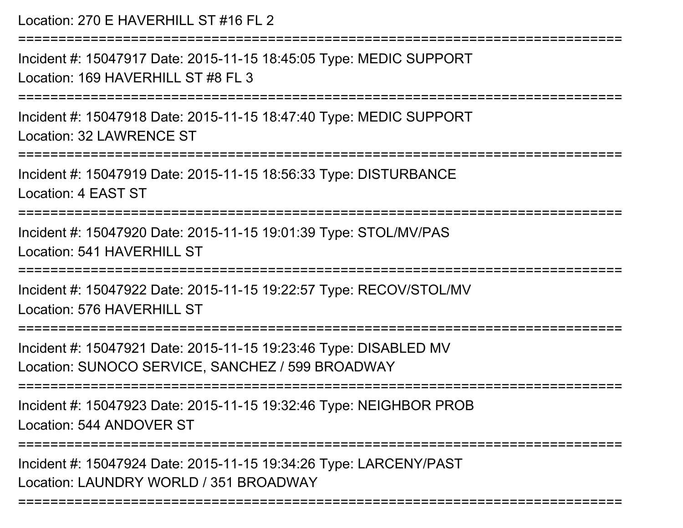Location: 270 E HAVERHILL ST #16 FL 2===========================================================================Incident #: 15047917 Date: 2015-11-15 18:45:05 Type: MEDIC SUPPORTLocation: 169 HAVERHILL ST #8 FL 3===========================================================================Incident #: 15047918 Date: 2015-11-15 18:47:40 Type: MEDIC SUPPORTLocation: 32 LAWRENCE ST===========================================================================Incident #: 15047919 Date: 2015-11-15 18:56:33 Type: DISTURBANCELocation: 4 EAST ST===========================================================================Incident #: 15047920 Date: 2015-11-15 19:01:39 Type: STOL/MV/PASLocation: 541 HAVERHILL ST ===========================================================================Incident #: 15047922 Date: 2015-11-15 19:22:57 Type: RECOV/STOL/MVLocation: 576 HAVERHILL ST ===========================================================================Incident #: 15047921 Date: 2015-11-15 19:23:46 Type: DISABLED MVLocation: SUNOCO SERVICE, SANCHEZ / 599 BROADWAY===========================================================================Incident #: 15047923 Date: 2015-11-15 19:32:46 Type: NEIGHBOR PROBLocation: 544 ANDOVER ST===========================================================================Incident #: 15047924 Date: 2015-11-15 19:34:26 Type: LARCENY/PASTLocation: LAUNDRY WORLD / 351 BROADWAY

===========================================================================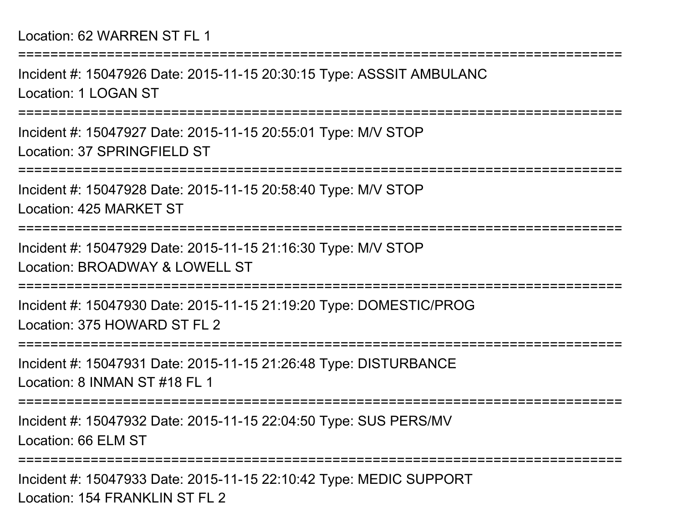===========================================================================Incident #: 15047926 Date: 2015-11-15 20:30:15 Type: ASSSIT AMBULANCLocation: 1 LOGAN ST===========================================================================Incident #: 15047927 Date: 2015-11-15 20:55:01 Type: M/V STOPLocation: 37 SPRINGFIELD ST===========================================================================Incident #: 15047928 Date: 2015-11-15 20:58:40 Type: M/V STOPLocation: 425 MARKET ST===========================================================================Incident #: 15047929 Date: 2015-11-15 21:16:30 Type: M/V STOPLocation: BROADWAY & LOWELL ST===========================================================================Incident #: 15047930 Date: 2015-11-15 21:19:20 Type: DOMESTIC/PROGLocation: 375 HOWARD ST FL 2===========================================================================Incident #: 15047931 Date: 2015-11-15 21:26:48 Type: DISTURBANCELocation: 8 INMAN ST #18 FL 1===========================================================================Incident #: 15047932 Date: 2015-11-15 22:04:50 Type: SUS PERS/MVLocation: 66 ELM ST===========================================================================Incident #: 15047933 Date: 2015-11-15 22:10:42 Type: MEDIC SUPPORTLocation: 154 FRANKLIN ST FL 2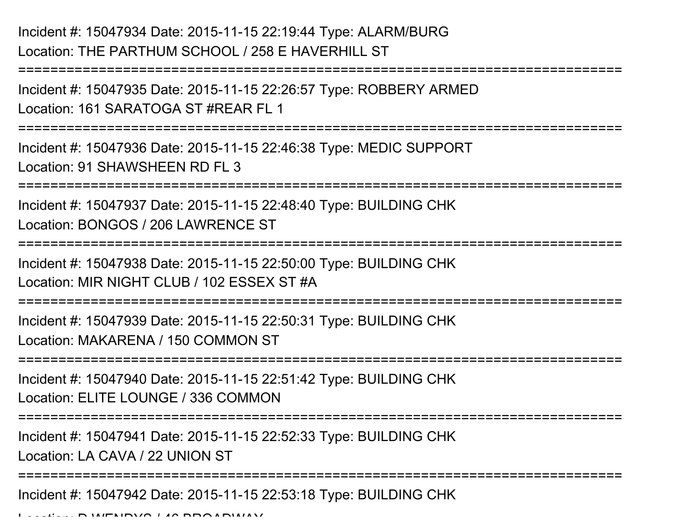## Incident #: 15047934 Date: 2015-11-15 22:19:44 Type: ALARM/BURGLocation: THE PARTHUM SCHOOL / 258 E HAVERHILL ST

Incident #: 15047935 Date: 2015-11-15 22:26:57 Type: ROBBERY ARMEDLocation: 161 SARATOGA ST #REAR FL 1

===========================================================================

===========================================================================

Incident #: 15047936 Date: 2015-11-15 22:46:38 Type: MEDIC SUPPORTLocation: 91 SHAWSHEEN RD FL 3

====================

Incident #: 15047937 Date: 2015-11-15 22:48:40 Type: BUILDING CHKLocation: BONGOS / 206 LAWRENCE ST

===========================================================================

Incident #: 15047938 Date: 2015-11-15 22:50:00 Type: BUILDING CHKLocation: MIR NIGHT CLUB / 102 ESSEX ST #A

===========================================================================

Incident #: 15047939 Date: 2015-11-15 22:50:31 Type: BUILDING CHKLocation: MAKARENA / 150 COMMON ST

===========================================================================

Incident #: 15047940 Date: 2015-11-15 22:51:42 Type: BUILDING CHKLocation: ELITE LOUNGE / 336 COMMON

===========================================================================

Incident #: 15047941 Date: 2015-11-15 22:52:33 Type: BUILDING CHK

Location: LA CAVA / 22 UNION ST

===========================================================================

Incident #: 15047942 Date: 2015-11-15 22:53:18 Type: BUILDING CHK